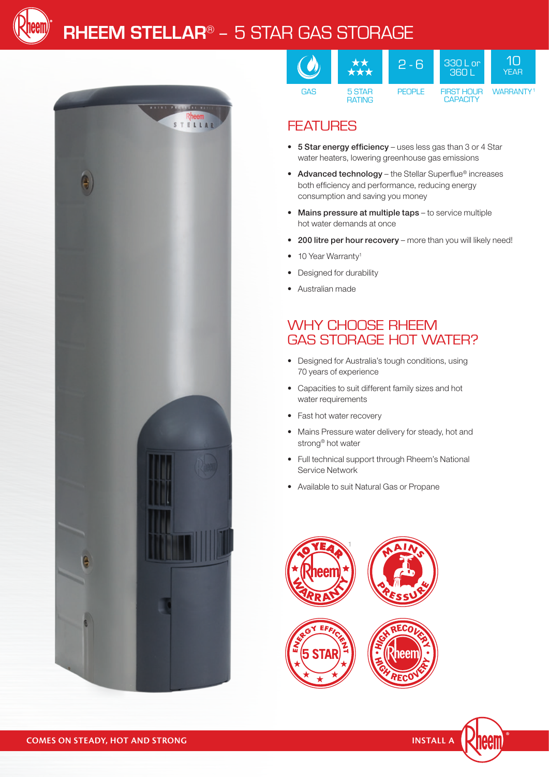

# **rheem stellar**® – 5 Star gas storage



|            | **<br>***               | 12 - RI       | $330$ L or<br><b>1.360 N</b>         | YFAR             |
|------------|-------------------------|---------------|--------------------------------------|------------------|
| <b>GAS</b> | 5 STAR<br><b>RATING</b> | <b>PFOPLE</b> | <b>FIRST HOUR</b><br><b>CAPACITY</b> | <b>WARRANTY1</b> |

### **FEATURES**

- 5 Star energy efficiency uses less gas than 3 or 4 Star water heaters, lowering greenhouse gas emissions
- Advanced technology the Stellar Superflue® increases both efficiency and performance, reducing energy consumption and saving you money
- Mains pressure at multiple taps to service multiple hot water demands at once
- 200 litre per hour recovery more than you will likely need!
- 10 Year Warranty<sup>1</sup>
- Designed for durability
- • Australian made

#### WHY CHOOSE RHEEM GAS STORAGE HOT WATER?

- • Designed for Australia's tough conditions, using 70 years of experience
- • Capacities to suit different family sizes and hot water requirements
- Fast hot water recovery
- Mains Pressure water delivery for steady, hot and strong® hot water
- Full technical support through Rheem's National Service Network
- • Available to suit Natural Gas or Propane